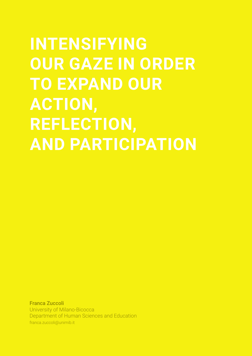# **INTENSIFYING OUR GAZE IN ORDER TO EXPAND OUR ACTION, REFLECTION, AND PARTICIPATION**

Franca Zuccoli University of Milano-Bicocca Department of Human Sciences and Education franca.zuccoli@unimib.it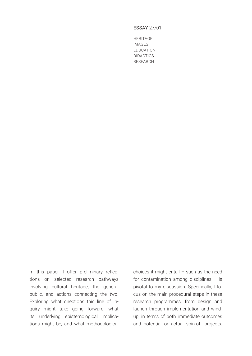## ESSAY 27/01

HERITAGE IMAGES EDUCATION DIDACTICS RESEARCH

In this paper, I offer preliminary reflections on selected research pathways involving cultural heritage, the general public, and actions connecting the two. Exploring what directions this line of inquiry might take going forward, what its underlying epistemological implications might be, and what methodological

choices it might entail – such as the need for contamination among disciplines – is pivotal to my discussion. Specifically, I focus on the main procedural steps in these research programmes, from design and launch through implementation and windup, in terms of both immediate outcomes and potential or actual spin-off projects.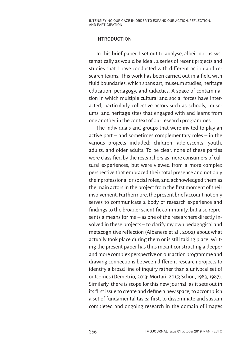# INTRODUCTION

In this brief paper, I set out to analyse, albeit not as systematically as would be ideal, a series of recent projects and studies that I have conducted with different action and research teams. This work has been carried out in a field with fluid boundaries, which spans art, museum studies, heritage education, pedagogy, and didactics. A space of contamination in which multiple cultural and social forces have interacted, particularly collective actors such as schools, museums, and heritage sites that engaged with and learnt from one another in the context of our research programmes.

The individuals and groups that were invited to play an active part – and sometimes complementary roles – in the various projects included: children, adolescents, youth, adults, and older adults. To be clear, none of these parties were classified by the researchers as mere consumers of cultural experiences, but were viewed from a more complex perspective that embraced their total presence and not only their professional or social roles, and acknowledged them as the main actors in the project from the first moment of their involvement. Furthermore, the present brief account not only serves to communicate a body of research experience and findings to the broader scientific community, but also represents a means for me – as one of the researchers directly involved in these projects – to clarify my own pedagogical and metacognitive reflection (Albanese et al., 2002) about what actually took place during them or is still taking place. Writing the present paper has thus meant constructing a deeper and more complex perspective on our action programme and drawing connections between different research projects to identify a broad line of inquiry rather than a univocal set of outcomes (Demetrio, 2013; Mortari, 2015; Schön, 1983, 1987). Similarly, there is scope for this new journal, as it sets out in its first issue to create and define a new space, to accomplish a set of fundamental tasks: first, to disseminate and sustain completed and ongoing research in the domain of images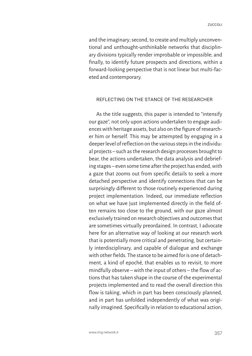and the imaginary; second, to create and multiply unconventional and unthought-unthinkable networks that disciplinary divisions typically render improbable or impossible; and finally, to identify future prospects and directions, within a forward-looking perspective that is not linear but multi-faceted and contemporary.

## REFLECTING ON THE STANCE OF THE RESEARCHER

As the title suggests, this paper is intended to "intensify our gaze", not only upon actions undertaken to engage audiences with heritage assets, but also on the figure of researcher him or herself. This may be attempted by engaging in a deeper level of reflection on the various steps in the individual projects – such as the research design processes brought to bear, the actions undertaken, the data analysis and debriefing stages – even some time after the project has ended, with a gaze that zooms out from specific details to seek a more detached perspective and identify connections that can be surprisingly different to those routinely experienced during project implementation. Indeed, our immediate reflection on what we have just implemented directly in the field often remains too close to the ground, with our gaze almost exclusively trained on research objectives and outcomes that are sometimes virtually preordained. In contrast, I advocate here for an alternative way of looking at our research work that is potentially more critical and penetrating, but certainly interdisciplinary, and capable of dialogue and exchange with other fields. The stance to be aimed for is one of detachment, a kind of epoché, that enables us to revisit, to more mindfully observe – with the input of others – the flow of actions that has taken shape in the course of the experimental projects implemented and to read the overall direction this flow is taking, which in part has been consciously planned, and in part has unfolded independently of what was originally imagined. Specifically in relation to educational action,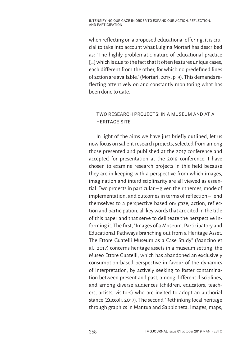when reflecting on a proposed educational offering, it is crucial to take into account what Luigina Mortari has described as: "The highly problematic nature of educational practice [...] which is due to the fact that it often features unique cases, each different from the other, for which no predefined lines of action are available." (Mortari, 2015, p. 9). This demands reflecting attentively on and constantly monitoring what has been done to date.

# TWO RESEARCH PROJECTS: IN A MUSEUM AND AT A HERITAGE SITE

In light of the aims we have just briefly outlined, let us now focus on salient research projects, selected from among those presented and published at the 2017 conference and accepted for presentation at the 2019 conference. I have chosen to examine research projects in this field because they are in keeping with a perspective from which images, imagination and interdisciplinarity are all viewed as essential. Two projects in particular – given their themes, mode of implementation, and outcomes in terms of reflection – lend themselves to a perspective based on: gaze, action, reflection and participation, all key words that are cited in the title of this paper and that serve to delineate the perspective informing it. The first, "Images of a Museum. Participatory and Educational Pathways branching out from a Heritage Asset. The Ettore Guatelli Museum as a Case Study" (Mancino et al., 2017) concerns heritage assets in a museum setting, the Museo Ettore Guatelli, which has abandoned an exclusively consumption-based perspective in favour of the dynamics of interpretation, by actively seeking to foster contamination between present and past, among different disciplines, and among diverse audiences (children, educators, teachers, artists, visitors) who are invited to adopt an authorial stance (Zuccoli, 2017). The second "Rethinking local heritage through graphics in Mantua and Sabbioneta. Images, maps,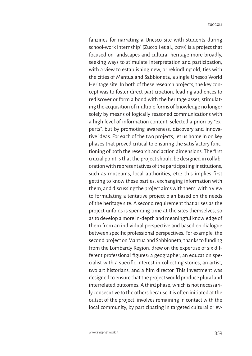fanzines for narrating a Unesco site with students during school-work internship" (Zuccoli et al., 2019) is a project that focused on landscapes and cultural heritage more broadly, seeking ways to stimulate interpretation and participation, with a view to establishing new, or rekindling old, ties with the cities of Mantua and Sabbioneta, a single Unesco World Heritage site. In both of these research projects, the key concept was to foster direct participation, leading audiences to rediscover or form a bond with the heritage asset, stimulating the acquisition of multiple forms of knowledge no longer solely by means of logically reasoned communications with a high level of information content, selected a priori by "experts", but by promoting awareness, discovery and innovative ideas. For each of the two projects, let us home in on key phases that proved critical to ensuring the satisfactory functioning of both the research and action dimensions. The first crucial point is that the project should be designed in collaboration with representatives of the participating institutions, such as museums, local authorities, etc.: this implies first getting to know these parties, exchanging information with them, and discussing the project aims with them, with a view to formulating a tentative project plan based on the needs of the heritage site. A second requirement that arises as the project unfolds is spending time at the sites themselves, so as to develop a more in-depth and meaningful knowledge of them from an individual perspective and based on dialogue between specific professional perspectives. For example, the second project on Mantua and Sabbioneta, thanks to funding from the Lombardy Region, drew on the expertise of six different professional figures: a geographer, an education specialist with a specific interest in collecting stories, an artist, two art historians, and a film director. This investment was designed to ensure that the project would produce plural and interrelated outcomes. A third phase, which is not necessarily consecutive to the others because it is often initiated at the outset of the project, involves remaining in contact with the local community, by participating in targeted cultural or ev-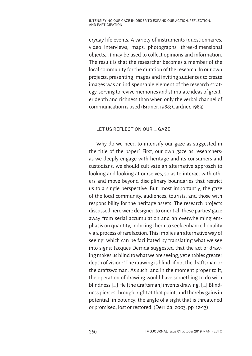eryday life events. A variety of instruments (questionnaires, video interviews, maps, photographs, three-dimensional objects,…) may be used to collect opinions and information. The result is that the researcher becomes a member of the local community for the duration of the research. In our own projects, presenting images and inviting audiences to create images was an indispensable element of the research strategy, serving to revive memories and stimulate ideas of greater depth and richness than when only the verbal channel of communication is used (Bruner, 1988; Gardner, 1983)

# LET US REFLECT ON OUR … GAZE

Why do we need to intensify our gaze as suggested in the title of the paper? First, our own gaze as researchers: as we deeply engage with heritage and its consumers and custodians, we should cultivate an alternative approach to looking and looking at ourselves, so as to interact with others and move beyond disciplinary boundaries that restrict us to a single perspective. But, most importantly, the gaze of the local community, audiences, tourists, and those with responsibility for the heritage assets: The research projects discussed here were designed to orient all these parties' gaze away from serial accumulation and an overwhelming emphasis on quantity, inducing them to seek enhanced quality via a process of rarefaction. This implies an alternative way of seeing, which can be facilitated by translating what we see into signs: Jacques Derrida suggested that the act of drawing makes us blind to what we are seeing, yet enables greater depth of vision: "The drawing is blind, if not the draftsman or the draftswoman. As such, and in the moment proper to it, the operation of drawing would have something to do with blindness […] He [the draftsman] invents drawing. […] Blindness pierces through, right at that point, and thereby gains in potential, in potency: the angle of a sight that is threatened or promised, lost or restored. (Derrida, 2003, pp. 12-13)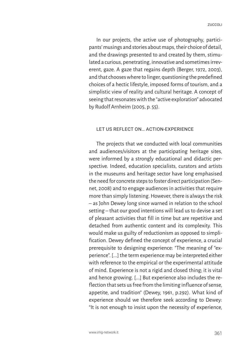In our projects, the active use of photography, participants' musings and stories about maps, their choice of detail, and the drawings presented to and created by them, stimulated a curious, penetrating, innovative and sometimes irreverent, gaze. A gaze that regains depth (Berger, 1972, 2003), and that chooses where to linger, questioning the predefined choices of a hectic lifestyle, imposed forms of tourism, and a simplistic view of reality and cultural heritage. A concept of seeing that resonates with the "active exploration" advocated by Rudolf Arnheim (2005, p. 55).

# LET US REFLECT ON… ACTION-EXPERIENCE

The projects that we conducted with local communities and audiences/visitors at the participating heritage sites, were informed by a strongly educational and didactic perspective. Indeed, education specialists, curators and artists in the museums and heritage sector have long emphasised the need for concrete steps to foster direct participation (Sennet, 2008) and to engage audiences in activities that require more than simply listening. However, there is always the risk – as John Dewey long since warned in relation to the school setting – that our good intentions will lead us to devise a set of pleasant activities that fill in time but are repetitive and detached from authentic content and its complexity. This would make us guilty of reductionism as opposed to simplification. Dewey defined the concept of experience, a crucial prerequisite to designing experience: "The meaning of "experience". [...] the term experience may be interpreted either with reference to the empirical or the experimental attitude of mind. Experience is not a rigid and closed thing; it is vital and hence growing. [...] But experience also includes the reflection that sets us free from the limiting influence of sense, appetite, and tradition" (Dewey, 1961, p.292). What kind of experience should we therefore seek according to Dewey: "It is not enough to insist upon the necessity of experience,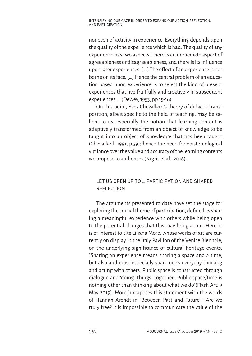nor even of activity in experience. Everything depends upon the quality of the experience which is had. The quality of any experience has two aspects. There is an immediate aspect of agreeableness or disagreeableness, and there is its influence upon later experiences. [...] The effect of an experience is not borne on its face. […] Hence the central problem of an education based upon experience is to select the kind of present experiences that live fruitfully and creatively in subsequent experiences..." (Dewey, 1953, pp.15-16)

On this point, Yves Chevallard's theory of didactic transposition, albeit specific to the field of teaching, may be salient to us, especially the notion that learning content is adaptively transformed from an object of knowledge to be taught into an object of knowledge that has been taught (Chevallard, 1991, p.39); hence the need for epistemological vigilance over the value and accuracy of the learning contents we propose to audiences (Nigris et al., 2016).

# LET US OPEN UP TO … PARTICIPATION AND SHARED REFLECTION

The arguments presented to date have set the stage for exploring the crucial theme of participation, defined as sharing a meaningful experience with others while being open to the potential changes that this may bring about. Here, it is of interest to cite Liliana Moro, whose works of art are currently on display in the Italy Pavilion of the Venice Biennale, on the underlying significance of cultural heritage events: "Sharing an experience means sharing a space and a time, but also and most especially share one's everyday thinking and acting with others. Public space is constructed through dialogue and 'doing [things] together'. Public space/time is nothing other than thinking about what we do"(Flash Art, 9 May 2019). Moro juxtaposes this statement with the words of Hannah Arendt in "Between Past and Future": "Are we truly free? It is impossible to communicate the value of the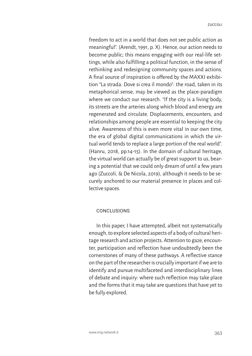freedom to act in a world that does not see public action as meaningful". (Arendt, 1991, p. X). Hence, our action needs to become public; this means engaging with our real-life settings, while also fulfilling a political function, in the sense of rethinking and redesigning community spaces and actions. A final source of inspiration is offered by the MAXXI exhibition "La strada. Dove si crea il mondo": the road, taken in its metaphorical sense, may be viewed as the place-paradigm where we conduct our research. "If the city is a living body, its streets are the arteries along which blood and energy are regenerated and circulate. Displacements, encounters, and relationships among people are essential to keeping the city alive. Awareness of this is even more vital in our own time, the era of global digital communications in which the virtual world tends to replace a large portion of the real world". (Hanru, 2018, pp.14-15). In the domain of cultural heritage, the virtual world can actually be of great support to us, bearing a potential that we could only dream of until a few years ago (Zuccoli, & De Nicola, 2019), although it needs to be securely anchored to our material presence in places and collective spaces.

# **CONCLUSIONS**

In this paper, I have attempted, albeit not systematically enough, to explore selected aspects of a body of cultural heritage research and action projects. Attention to gaze, encounter, participation and reflection have undoubtedly been the cornerstones of many of these pathways. A reflective stance on the part of the researcher is crucially important if we are to identify and pursue multifaceted and interdisciplinary lines of debate and inquiry: where such reflection may take place and the forms that it may take are questions that have yet to be fully explored.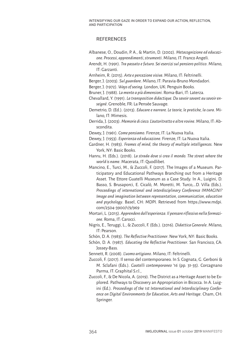# **REFERENCES**

- Albanese, O., Doudin, P. A., & Martin, D. (2002). *Metacognizione ed educazione. Processi, apprendimenti, strumenti*. Milano, IT: Franco Angeli.
- Arendt, H. (1991). *Tra passato e futuro. Sei esercizi sul pensiero politico*. Milano, IT: Garzanti.
- Arnheim, R. (2015). *Arte e percezione visiva*. Milano, IT: Feltrinelli.
- Berger, J. (2003). *Sul guardare*. Milano, IT: Paravia-Bruno Mondadori.
- Berger, J. (1972). *Ways of seeing*. London, UK: Penguin Books.
- Bruner, J. (1988). *La mente a più dimensioni*. Roma-Bari, IT: Laterza.
- Chevallard, Y. (1991). *La transposition didactique. Du savoir savant au savoir enseigné*. Grenoble, FR: La Pensée Sauvage.
- Demetrio, D. (Ed.). (2013). *Educare e narrare. Le teorie, le pratiche, la cura*. Milano, IT: Mimesis.
- Derrida, J. (2003). *Memorie di cieco. L'autoritratto e altre rovine*. Milano, IT: Abscondita.
- Dewey, J. (1961). *Come pensiamo*. Firenze, IT: La Nuova Italia.
- Dewey, J. (1953). *Esperienza ed educazione*. Firenze, IT: La Nuova Italia.
- Gardner, H. (1983). *Frames of mind, the theory of multiple intelligences.* New York, NY: Basic Books.
- Hanru, H. (Eds.). (2018). *La strada dove si crea il mondo. The street where the world is name*. Macerata, IT: Quodlibet.
- Mancino, E., Turci, M., & Zuccoli, F. (2017). The Images of a Museum. Participatory and Educational Pathways Branching out from a Heritage Asset. The Ettore Guatelli Museum as a Case Study. In A., Luigini, D. Basso, S. Brusaporci, E. Cicalò, M. Moretti, M. Turco,…D. Villa (Eds.). *Proceedings of international and interdisciplinary Conference IMMAGINI? Image and imagination between representation, communication, education and psychology*. Basel, CH: MDPI. Retrieved from https://www.mdpi. com/2504-3900/1/9/969
- Mortari, L. (2015). *Apprendere dall'esperienza. Il pensare riflessivo nella formazione*. Roma, IT: Carocci.
- Nigris, E., Teruggi, L., & Zuccoli, F. (Eds.). (2016). *Didattica Generale*. Milano, IT: Pearson.
- Schön, D. A. (1983). *The Reflective Practitioner*. New York, NY: Basic Books.
- Schön, D. A. (1987). *Educating the Reflective Practitioner*. San Francisco, CA: Jossey-Bass.
- Sennett, R. (2008). *L'uomo artigiano*. Milano, IT: Feltrinelli.
- Zuccoli, F. (2017). Il senso del contemporaneo. In S. Cognata, G. Gerboni & M. Sclafani (Eds.). *Guatelli contemporaneo '16* (pp. 31-35). Corcagnano Parma, IT: Graphital S.r.l.,
- Zuccoli, F., & De Nicola, A. (2019). The District as a Heritage Asset to be Explored. Pathways to Discovery an Appropriation in Bicocca. In A. Luigini (Ed.). *Proceedings of the 1st International and Interdisciplinary Conference on Digital Environments for Education, Arts and Heritage*. Cham, CH: Springer.